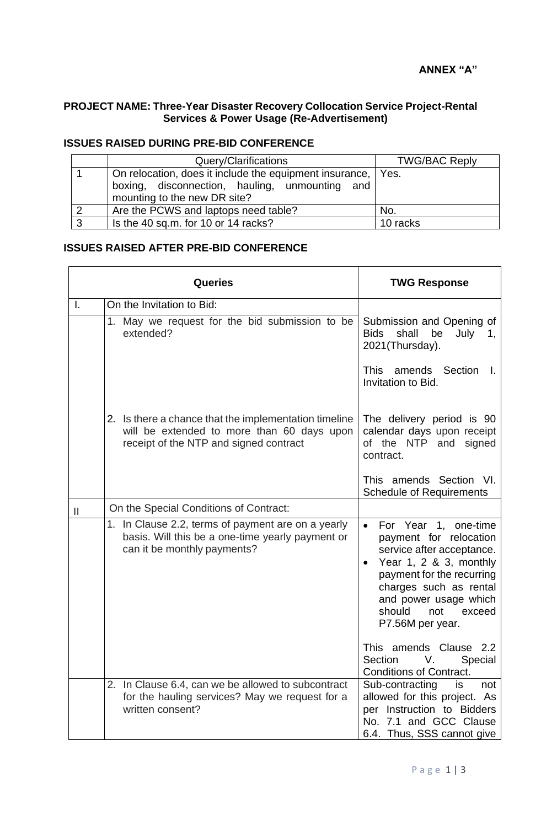$\overline{\phantom{a}}$ 

## **PROJECT NAME: Three-Year Disaster Recovery Collocation Service Project-Rental Services & Power Usage (Re-Advertisement)**

## **ISSUES RAISED DURING PRE-BID CONFERENCE**

|   | Query/Clarifications                                                                                                                             | <b>TWG/BAC Reply</b> |
|---|--------------------------------------------------------------------------------------------------------------------------------------------------|----------------------|
|   | On relocation, does it include the equipment insurance,   Yes.<br>boxing, disconnection, hauling, unmounting and<br>mounting to the new DR site? |                      |
|   | Are the PCWS and laptops need table?                                                                                                             | No.                  |
| ◠ | Is the 40 sq.m. for 10 or 14 racks?                                                                                                              | 10 racks             |

 $\mathbf{\tau}$ 

## **ISSUES RAISED AFTER PRE-BID CONFERENCE**

 $\blacksquare$ 

| Queries |                                                                                                                                               | <b>TWG Response</b>                                                                                                                                                                                                                               |
|---------|-----------------------------------------------------------------------------------------------------------------------------------------------|---------------------------------------------------------------------------------------------------------------------------------------------------------------------------------------------------------------------------------------------------|
| Τ.      | On the Invitation to Bid:                                                                                                                     |                                                                                                                                                                                                                                                   |
|         | 1. May we request for the bid submission to be<br>extended?                                                                                   | Submission and Opening of<br>shall<br>be<br><b>Bids</b><br>July<br>1,<br>2021(Thursday).                                                                                                                                                          |
|         |                                                                                                                                               | amends Section<br><b>This</b><br>$\mathbf{L}$<br>Invitation to Bid.                                                                                                                                                                               |
|         | 2. Is there a chance that the implementation timeline<br>will be extended to more than 60 days upon<br>receipt of the NTP and signed contract | The delivery period is 90<br>calendar days upon receipt<br>of the NTP and<br>signed<br>contract.                                                                                                                                                  |
|         |                                                                                                                                               | This amends Section VI.<br><b>Schedule of Requirements</b>                                                                                                                                                                                        |
| Ш       | On the Special Conditions of Contract:                                                                                                        |                                                                                                                                                                                                                                                   |
|         | 1. In Clause 2.2, terms of payment are on a yearly<br>basis. Will this be a one-time yearly payment or<br>can it be monthly payments?         | For Year 1, one-time<br>$\bullet$<br>payment for relocation<br>service after acceptance.<br>Year 1, 2 & 3, monthly<br>payment for the recurring<br>charges such as rental<br>and power usage which<br>should<br>not<br>exceed<br>P7.56M per year. |
|         |                                                                                                                                               | This amends Clause 2.2<br>Section<br>V.<br>Special<br><b>Conditions of Contract.</b>                                                                                                                                                              |
|         | 2. In Clause 6.4, can we be allowed to subcontract<br>for the hauling services? May we request for a<br>written consent?                      | Sub-contracting<br>is<br>not<br>allowed for this project. As<br>per Instruction to Bidders<br>No. 7.1 and GCC Clause<br>6.4. Thus, SSS cannot give                                                                                                |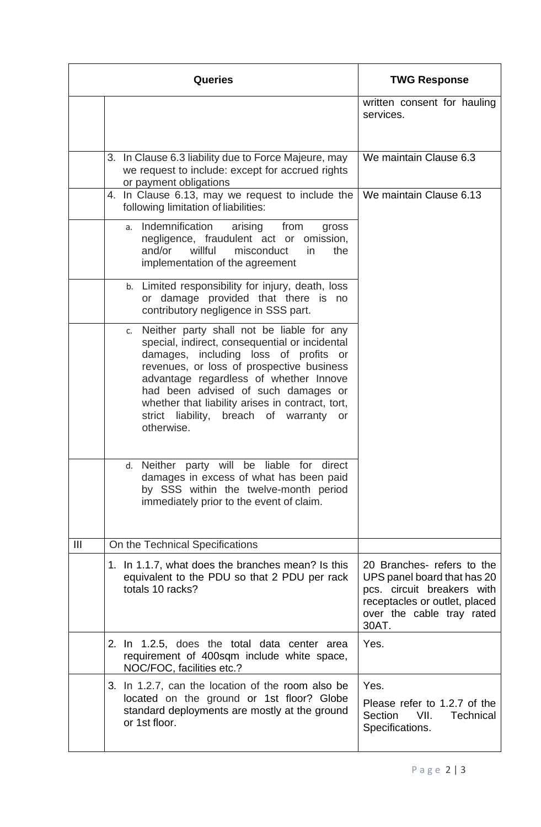|                | <b>Queries</b>                                                                                                                                                                                                                                                                                                                                                                           | <b>TWG Response</b>                                                                                                                                            |
|----------------|------------------------------------------------------------------------------------------------------------------------------------------------------------------------------------------------------------------------------------------------------------------------------------------------------------------------------------------------------------------------------------------|----------------------------------------------------------------------------------------------------------------------------------------------------------------|
|                |                                                                                                                                                                                                                                                                                                                                                                                          | written consent for hauling<br>services.                                                                                                                       |
|                | 3. In Clause 6.3 liability due to Force Majeure, may<br>we request to include: except for accrued rights<br>or payment obligations                                                                                                                                                                                                                                                       | We maintain Clause 6.3                                                                                                                                         |
|                | 4. In Clause 6.13, may we request to include the<br>following limitation of liabilities:                                                                                                                                                                                                                                                                                                 | We maintain Clause 6.13                                                                                                                                        |
|                | Indemnification<br>arising<br>from<br>gross<br>a.<br>negligence, fraudulent act or omission,<br>willful<br>and/or<br>misconduct<br>in<br>the<br>implementation of the agreement                                                                                                                                                                                                          |                                                                                                                                                                |
|                | b. Limited responsibility for injury, death, loss<br>or damage provided that there is no<br>contributory negligence in SSS part.                                                                                                                                                                                                                                                         |                                                                                                                                                                |
|                | Neither party shall not be liable for any<br>C.<br>special, indirect, consequential or incidental<br>damages, including loss of profits<br>or<br>revenues, or loss of prospective business<br>advantage regardless of whether Innove<br>had been advised of such damages or<br>whether that liability arises in contract, tort,<br>strict liability, breach of warranty or<br>otherwise. |                                                                                                                                                                |
|                | d. Neither party will be liable for direct<br>damages in excess of what has been paid<br>by SSS within the twelve-month period<br>immediately prior to the event of claim.                                                                                                                                                                                                               |                                                                                                                                                                |
| $\mathbf{III}$ | On the Technical Specifications                                                                                                                                                                                                                                                                                                                                                          |                                                                                                                                                                |
|                | 1. In 1.1.7, what does the branches mean? Is this<br>equivalent to the PDU so that 2 PDU per rack<br>totals 10 racks?                                                                                                                                                                                                                                                                    | 20 Branches- refers to the<br>UPS panel board that has 20<br>pcs. circuit breakers with<br>receptacles or outlet, placed<br>over the cable tray rated<br>30AT. |
|                | 2. In 1.2.5, does the total data center area<br>requirement of 400sqm include white space,<br>NOC/FOC, facilities etc.?                                                                                                                                                                                                                                                                  | Yes.                                                                                                                                                           |
|                | 3. In 1.2.7, can the location of the room also be<br>located on the ground or 1st floor? Globe<br>standard deployments are mostly at the ground<br>or 1st floor.                                                                                                                                                                                                                         | Yes.<br>Please refer to 1.2.7 of the<br><b>Section</b><br>VII.<br><b>Technical</b><br>Specifications.                                                          |